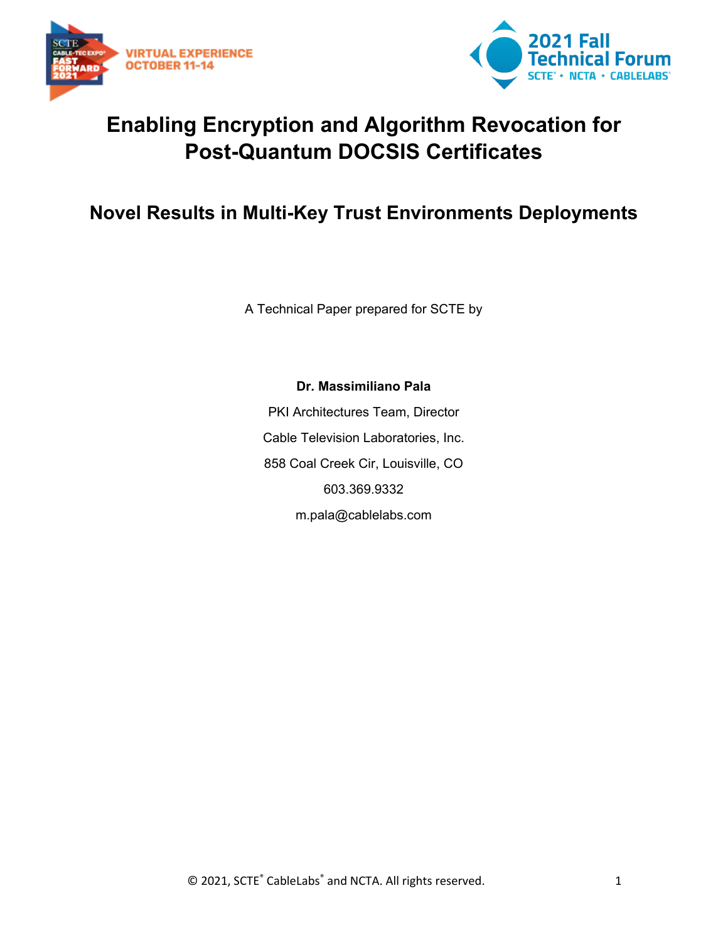



# **Enabling Encryption and Algorithm Revocation for Post-Quantum DOCSIS Certificates**

# **Novel Results in Multi-Key Trust Environments Deployments**

A Technical Paper prepared for SCTE by

**Dr. Massimiliano Pala** PKI Architectures Team, Director Cable Television Laboratories, Inc. 858 Coal Creek Cir, Louisville, CO 603.369.9332 m.pala@cablelabs.com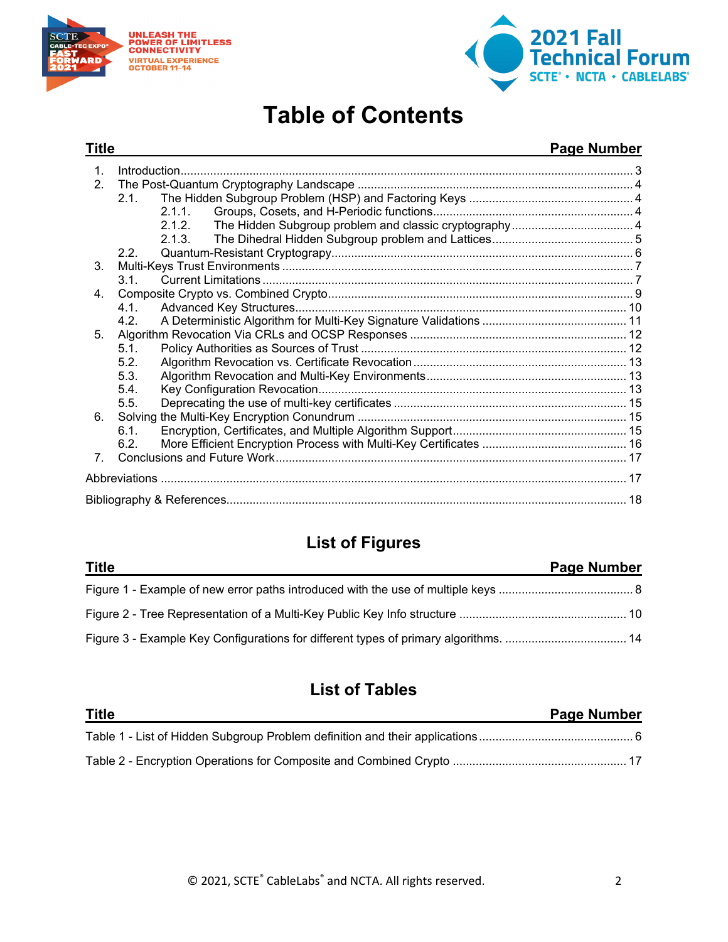



# **Table of Contents**

#### **Title Page Number** 1. [Introduction..........................................................................................................................................](#page-2-0) 3 2. The Post-Quantum Cryptography Landscape [....................................................................................](#page-3-0) 4 2.1. [The Hidden Subgroup Problem \(HSP\) and Factoring Keys](#page-3-1) .................................................. 4 2.1.1. [Groups, Cosets, and H-Periodic functions.............................................................](#page-3-2) 4 2.1.2. [The Hidden Subgroup problem and classic cryptography.....................................](#page-3-3) 4 2.1.3. [The Dihedral Hidden Subgroup problem and Lattices...........................................](#page-4-0) 5 2.2. [Quantum-Resistant Cryptograpy............................................................................................](#page-5-0) 6 3. Multi-Keys Trust Environments [...........................................................................................................](#page-6-0) 7 3.1. Current Limitations [.................................................................................................................](#page-6-1) 7 4. [Composite Crypto vs. Combined Crypto.............................................................................................](#page-8-0) 9 4.1. [Advanced Key Structures.....................................................................................................](#page-9-0) 10 4.2. [A Deterministic Algorithm for Multi-Key Signature Validations](#page-10-0) ............................................ 11 5. [Algorithm Revocation Via CRLs and OCSP Responses](#page-11-0) .................................................................. 12 5.1. Policy Authorities as Sources of Trust [.................................................................................](#page-11-1) 12 5.2. [Algorithm Revocation vs. Certificate Revocation.................................................................](#page-12-0) 13 5.3. [Algorithm Revocation and Multi-Key Environments.............................................................](#page-12-1) 13 5.4. [Key Configuration Revocation..............................................................................................](#page-12-2) 13 5.5. Deprecating the use of multi-key certificates [.......................................................................](#page-14-0) 15 6. Solving the Multi-Key Encryption Conundrum [..................................................................................](#page-14-1) 15 6.1. [Encryption, Certificates, and Multiple Algorithm Support.....................................................](#page-14-2) 15 6.2. [More Efficient Encryption Process with Multi-Key Certificates](#page-15-0) ............................................ 16 7. [Conclusions and Future Work...........................................................................................................](#page-16-0) 17 Abbreviations [..............................................................................................................................................](#page-16-1) 17 [Bibliography & References..........................................................................................................................](#page-17-0) 18

# **List of Figures**

| <b>Title</b> | <b>Page Number</b> |
|--------------|--------------------|
|              |                    |
|              |                    |
|              |                    |

# **List of Tables**

| <b>Title</b> | Page Number |
|--------------|-------------|
|              |             |
|              |             |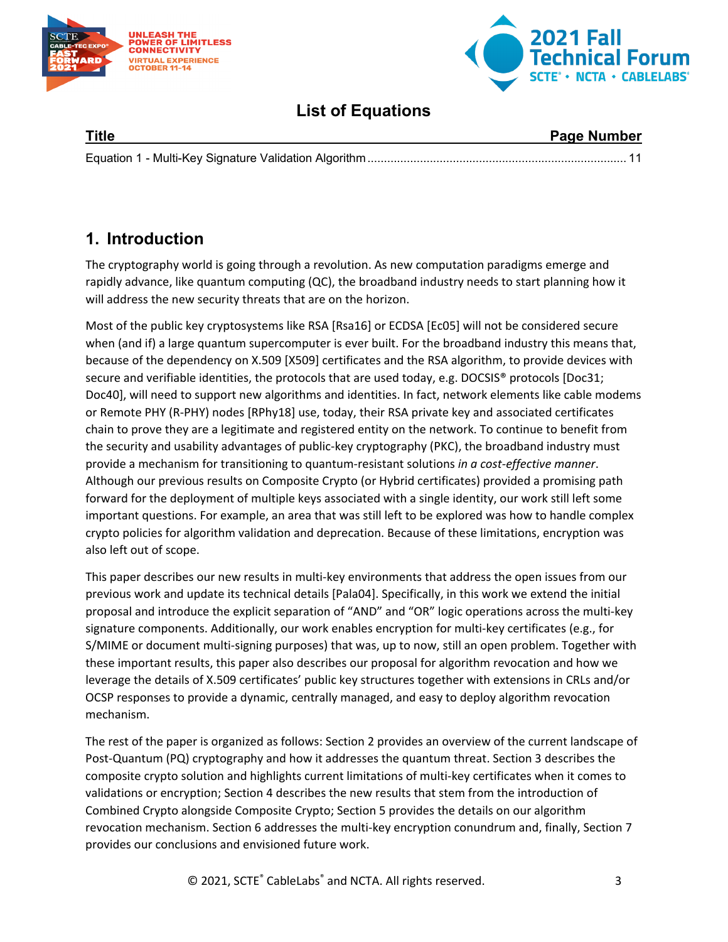



# **List of Equations**

| <b>Title</b> | <b>Page Number</b> |
|--------------|--------------------|
|              |                    |

# <span id="page-2-0"></span>**1. Introduction**

The cryptography world is going through a revolution. As new computation paradigms emerge and rapidly advance, like quantum computing (QC), the broadband industry needs to start planning how it will address the new security threats that are on the horizon.

Most of the public key cryptosystems like RSA [Rsa16] or ECDSA [Ec05] will not be considered secure when (and if) a large quantum supercomputer is ever built. For the broadband industry this means that, because of the dependency on X.509 [X509] certificates and the RSA algorithm, to provide devices with secure and verifiable identities, the protocols that are used today, e.g. DOCSIS® protocols [Doc31; Doc40], will need to support new algorithms and identities. In fact, network elements like cable modems or Remote PHY (R-PHY) nodes [RPhy18] use, today, their RSA private key and associated certificates chain to prove they are a legitimate and registered entity on the network. To continue to benefit from the security and usability advantages of public-key cryptography (PKC), the broadband industry must provide a mechanism for transitioning to quantum-resistant solutions *in a cost-effective manner*. Although our previous results on Composite Crypto (or Hybrid certificates) provided a promising path forward for the deployment of multiple keys associated with a single identity, our work still left some important questions. For example, an area that was still left to be explored was how to handle complex crypto policies for algorithm validation and deprecation. Because of these limitations, encryption was also left out of scope.

This paper describes our new results in multi-key environments that address the open issues from our previous work and update its technical details [Pala04]. Specifically, in this work we extend the initial proposal and introduce the explicit separation of "AND" and "OR" logic operations across the multi-key signature components. Additionally, our work enables encryption for multi-key certificates (e.g., for S/MIME or document multi-signing purposes) that was, up to now, still an open problem. Together with these important results, this paper also describes our proposal for algorithm revocation and how we leverage the details of X.509 certificates' public key structures together with extensions in CRLs and/or OCSP responses to provide a dynamic, centrally managed, and easy to deploy algorithm revocation mechanism.

The rest of the paper is organized as follows: Section 2 provides an overview of the current landscape of Post-Quantum (PQ) cryptography and how it addresses the quantum threat. Section 3 describes the composite crypto solution and highlights current limitations of multi-key certificates when it comes to validations or encryption; Section 4 describes the new results that stem from the introduction of Combined Crypto alongside Composite Crypto; Section 5 provides the details on our algorithm revocation mechanism. Section 6 addresses the multi-key encryption conundrum and, finally, Section 7 provides our conclusions and envisioned future work.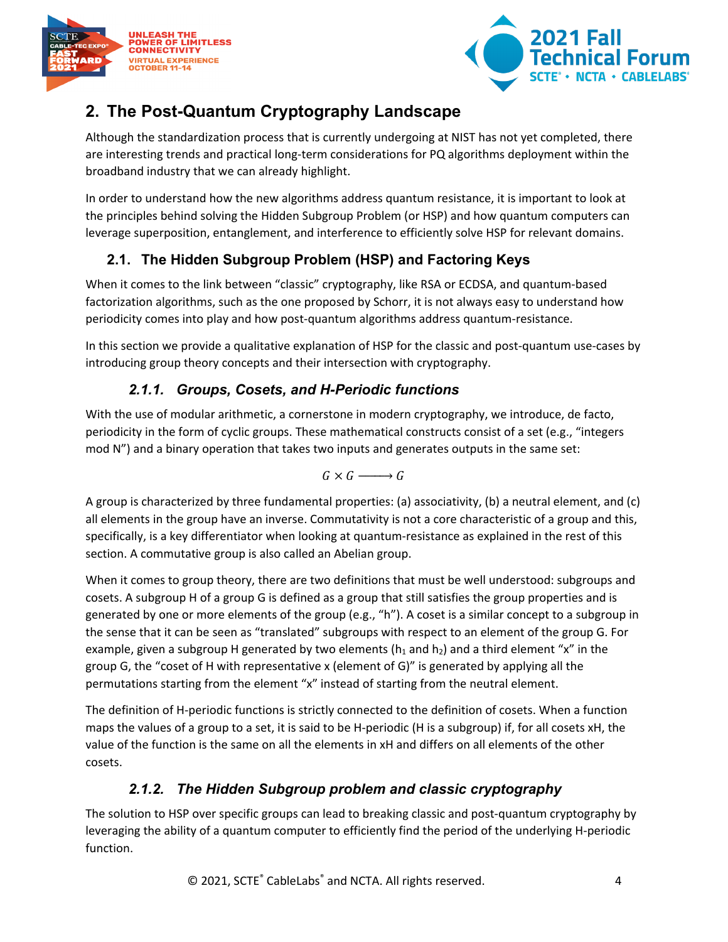



# <span id="page-3-0"></span>**2. The Post-Quantum Cryptography Landscape**

Although the standardization process that is currently undergoing at NIST has not yet completed, there are interesting trends and practical long-term considerations for PQ algorithms deployment within the broadband industry that we can already highlight.

In order to understand how the new algorithms address quantum resistance, it is important to look at the principles behind solving the Hidden Subgroup Problem (or HSP) and how quantum computers can leverage superposition, entanglement, and interference to efficiently solve HSP for relevant domains.

# <span id="page-3-1"></span>**2.1. The Hidden Subgroup Problem (HSP) and Factoring Keys**

When it comes to the link between "classic" cryptography, like RSA or ECDSA, and quantum-based factorization algorithms, such as the one proposed by Schorr, it is not always easy to understand how periodicity comes into play and how post-quantum algorithms address quantum-resistance.

In this section we provide a qualitative explanation of HSP for the classic and post-quantum use-cases by introducing group theory concepts and their intersection with cryptography.

## *2.1.1. Groups, Cosets, and H-Periodic functions*

<span id="page-3-2"></span>With the use of modular arithmetic, a cornerstone in modern cryptography, we introduce, de facto, periodicity in the form of cyclic groups. These mathematical constructs consist of a set (e.g., "integers mod N") and a binary operation that takes two inputs and generates outputs in the same set:

 $G \times G \longrightarrow G$ 

A group is characterized by three fundamental properties: (a) associativity, (b) a neutral element, and (c) all elements in the group have an inverse. Commutativity is not a core characteristic of a group and this, specifically, is a key differentiator when looking at quantum-resistance as explained in the rest of this section. A commutative group is also called an Abelian group.

When it comes to group theory, there are two definitions that must be well understood: subgroups and cosets. A subgroup H of a group G is defined as a group that still satisfies the group properties and is generated by one or more elements of the group (e.g., "h"). A coset is a similar concept to a subgroup in the sense that it can be seen as "translated" subgroups with respect to an element of the group G. For example, given a subgroup H generated by two elements ( $h_1$  and  $h_2$ ) and a third element "x" in the group G, the "coset of H with representative x (element of G)" is generated by applying all the permutations starting from the element "x" instead of starting from the neutral element.

The definition of H-periodic functions is strictly connected to the definition of cosets. When a function maps the values of a group to a set, it is said to be H-periodic (H is a subgroup) if, for all cosets xH, the value of the function is the same on all the elements in xH and differs on all elements of the other cosets.

# *2.1.2. The Hidden Subgroup problem and classic cryptography*

<span id="page-3-3"></span>The solution to HSP over specific groups can lead to breaking classic and post-quantum cryptography by leveraging the ability of a quantum computer to efficiently find the period of the underlying H-periodic function.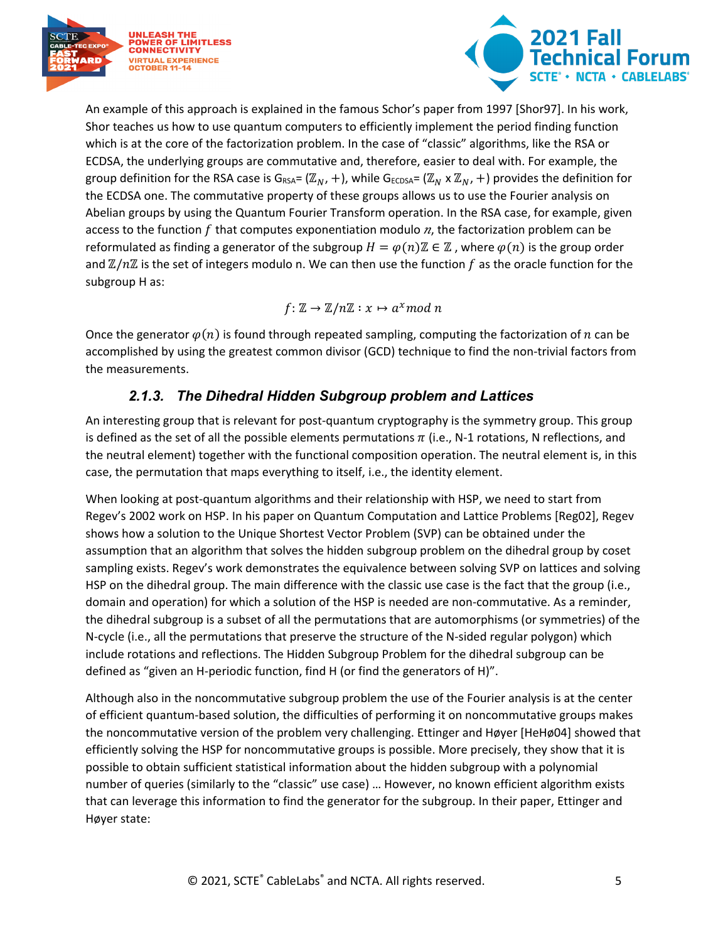



An example of this approach is explained in the famous Schor's paper from 1997 [Shor97]. In his work, Shor teaches us how to use quantum computers to efficiently implement the period finding function which is at the core of the factorization problem. In the case of "classic" algorithms, like the RSA or ECDSA, the underlying groups are commutative and, therefore, easier to deal with. For example, the group definition for the RSA case is G<sub>RSA</sub>= ( $\mathbb{Z}_N$ , +), while G<sub>ECDSA</sub>= ( $\mathbb{Z}_N$  x  $\mathbb{Z}_N$ , +) provides the definition for the ECDSA one. The commutative property of these groups allows us to use the Fourier analysis on Abelian groups by using the Quantum Fourier Transform operation. In the RSA case, for example, given access to the function  $f$  that computes exponentiation modulo  $n$ , the factorization problem can be reformulated as finding a generator of the subgroup  $H = \varphi(n)\mathbb{Z} \in \mathbb{Z}$ , where  $\varphi(n)$  is the group order and  $\mathbb{Z}/n\mathbb{Z}$  is the set of integers modulo n. We can then use the function f as the oracle function for the subgroup H as:

$$
f\colon\mathbb{Z}\to\mathbb{Z}/n\mathbb{Z}:x\mapsto a^x mod\;n
$$

Once the generator  $\varphi(n)$  is found through repeated sampling, computing the factorization of n can be accomplished by using the greatest common divisor (GCD) technique to find the non-trivial factors from the measurements.

### *2.1.3. The Dihedral Hidden Subgroup problem and Lattices*

<span id="page-4-0"></span>An interesting group that is relevant for post-quantum cryptography is the symmetry group. This group is defined as the set of all the possible elements permutations  $\pi$  (i.e., N-1 rotations, N reflections, and the neutral element) together with the functional composition operation. The neutral element is, in this case, the permutation that maps everything to itself, i.e., the identity element.

When looking at post-quantum algorithms and their relationship with HSP, we need to start from Regev's 2002 work on HSP. In his paper on Quantum Computation and Lattice Problems [Reg02], Regev shows how a solution to the Unique Shortest Vector Problem (SVP) can be obtained under the assumption that an algorithm that solves the hidden subgroup problem on the dihedral group by coset sampling exists. Regev's work demonstrates the equivalence between solving SVP on lattices and solving HSP on the dihedral group. The main difference with the classic use case is the fact that the group (i.e., domain and operation) for which a solution of the HSP is needed are non-commutative. As a reminder, the dihedral subgroup is a subset of all the permutations that are automorphisms (or symmetries) of the N-cycle (i.e., all the permutations that preserve the structure of the N-sided regular polygon) which include rotations and reflections. The Hidden Subgroup Problem for the dihedral subgroup can be defined as "given an H-periodic function, find H (or find the generators of H)".

Although also in the noncommutative subgroup problem the use of the Fourier analysis is at the center of efficient quantum-based solution, the difficulties of performing it on noncommutative groups makes the noncommutative version of the problem very challenging. Ettinger and Høyer [HeHø04] showed that efficiently solving the HSP for noncommutative groups is possible. More precisely, they show that it is possible to obtain sufficient statistical information about the hidden subgroup with a polynomial number of queries (similarly to the "classic" use case) … However, no known efficient algorithm exists that can leverage this information to find the generator for the subgroup. In their paper, Ettinger and Høyer state: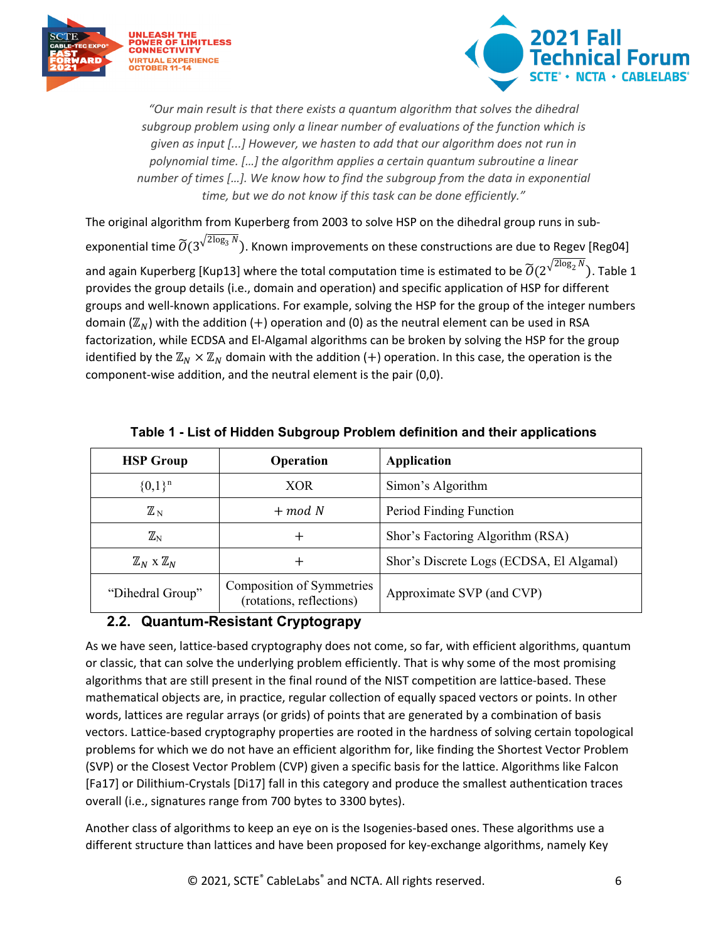



*"Our main result is that there exists a quantum algorithm that solves the dihedral subgroup problem using only a linear number of evaluations of the function which is given as input [...] However, we hasten to add that our algorithm does not run in polynomial time. […] the algorithm applies a certain quantum subroutine a linear number of times […]. We know how to find the subgroup from the data in exponential time, but we do not know if this task can be done efficiently."*

The original algorithm from Kuperberg from 2003 to solve HSP on the dihedral group runs in subexponential time  $\widetilde{O}(3^{\sqrt{2\log_3 N}})$ . Known improvements on these constructions are due to Regev [Reg04] and again Kuperberg [Kup13] where the total computation time is estimated to be  $\widetilde O(2^{\sqrt{2\log_2 N}})$ . [Table 1](#page-5-1) provides the group details (i.e., domain and operation) and specific application of HSP for different groups and well-known applications. For example, solving the HSP for the group of the integer numbers domain ( $\mathbb{Z}_N$ ) with the addition (+) operation and (0) as the neutral element can be used in RSA factorization, while ECDSA and El-Algamal algorithms can be broken by solving the HSP for the group identified by the  $\mathbb{Z}_N \times \mathbb{Z}_N$  domain with the addition (+) operation. In this case, the operation is the component-wise addition, and the neutral element is the pair (0,0).

<span id="page-5-1"></span>

| <b>HSP Group</b>                   | Operation                                             | Application                              |
|------------------------------------|-------------------------------------------------------|------------------------------------------|
| ${0,1}^n$                          | XOR                                                   | Simon's Algorithm                        |
| $\mathbb{Z}_\mathrm{N}$            | $+$ mod N                                             | Period Finding Function                  |
| $\mathbb{Z}_\mathrm{N}$            | +                                                     | Shor's Factoring Algorithm (RSA)         |
| $\mathbb{Z}_N \times \mathbb{Z}_N$ |                                                       | Shor's Discrete Logs (ECDSA, El Algamal) |
| "Dihedral Group"                   | Composition of Symmetries<br>(rotations, reflections) | Approximate SVP (and CVP)                |

| Table 1 - List of Hidden Subgroup Problem definition and their applications |  |  |  |  |  |
|-----------------------------------------------------------------------------|--|--|--|--|--|
|-----------------------------------------------------------------------------|--|--|--|--|--|

### <span id="page-5-0"></span>**2.2. Quantum-Resistant Cryptograpy**

As we have seen, lattice-based cryptography does not come, so far, with efficient algorithms, quantum or classic, that can solve the underlying problem efficiently. That is why some of the most promising algorithms that are still present in the final round of the NIST competition are lattice-based. These mathematical objects are, in practice, regular collection of equally spaced vectors or points. In other words, lattices are regular arrays (or grids) of points that are generated by a combination of basis vectors. Lattice-based cryptography properties are rooted in the hardness of solving certain topological problems for which we do not have an efficient algorithm for, like finding the Shortest Vector Problem (SVP) or the Closest Vector Problem (CVP) given a specific basis for the lattice. Algorithms like Falcon [Fa17] or Dilithium-Crystals [Di17] fall in this category and produce the smallest authentication traces overall (i.e., signatures range from 700 bytes to 3300 bytes).

Another class of algorithms to keep an eye on is the Isogenies-based ones. These algorithms use a different structure than lattices and have been proposed for key-exchange algorithms, namely Key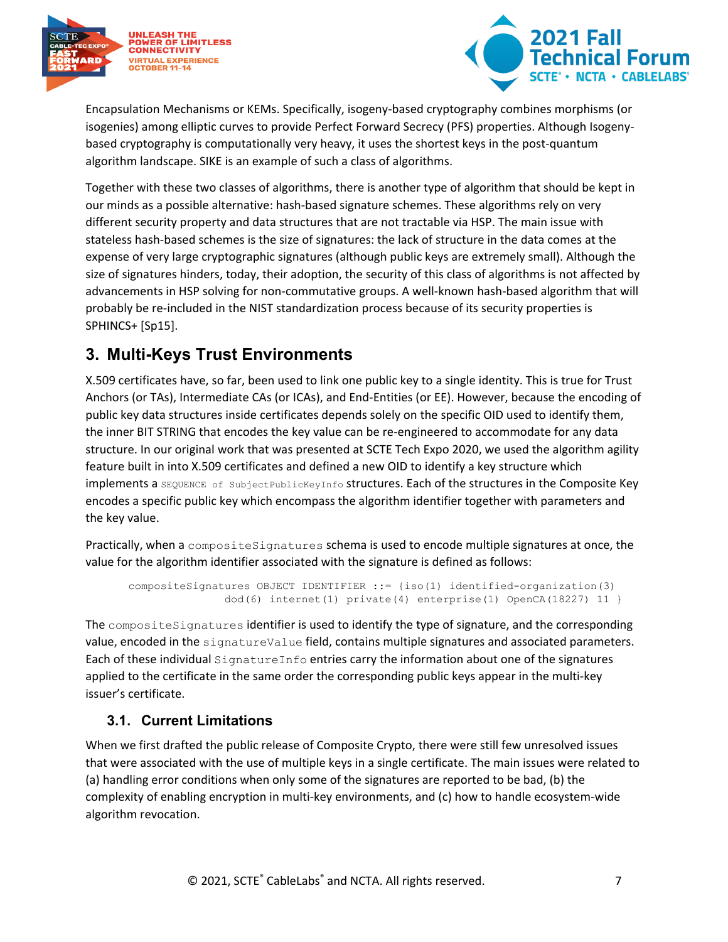



Encapsulation Mechanisms or KEMs. Specifically, isogeny-based cryptography combines morphisms (or isogenies) among elliptic curves to provide Perfect Forward Secrecy (PFS) properties. Although Isogenybased cryptography is computationally very heavy, it uses the shortest keys in the post-quantum algorithm landscape. SIKE is an example of such a class of algorithms.

Together with these two classes of algorithms, there is another type of algorithm that should be kept in our minds as a possible alternative: hash-based signature schemes. These algorithms rely on very different security property and data structures that are not tractable via HSP. The main issue with stateless hash-based schemes is the size of signatures: the lack of structure in the data comes at the expense of very large cryptographic signatures (although public keys are extremely small). Although the size of signatures hinders, today, their adoption, the security of this class of algorithms is not affected by advancements in HSP solving for non-commutative groups. A well-known hash-based algorithm that will probably be re-included in the NIST standardization process because of its security properties is SPHINCS+ [Sp15].

# <span id="page-6-0"></span>**3. Multi-Keys Trust Environments**

X.509 certificates have, so far, been used to link one public key to a single identity. This is true for Trust Anchors (or TAs), Intermediate CAs (or ICAs), and End-Entities (or EE). However, because the encoding of public key data structures inside certificates depends solely on the specific OID used to identify them, the inner BIT STRING that encodes the key value can be re-engineered to accommodate for any data structure. In our original work that was presented at SCTE Tech Expo 2020, we used the algorithm agility feature built in into X.509 certificates and defined a new OID to identify a key structure which implements a SEQUENCE of SubjectPublicKeyInfo structures. Each of the structures in the Composite Key encodes a specific public key which encompass the algorithm identifier together with parameters and the key value.

Practically, when a compositeSignatures schema is used to encode multiple signatures at once, the value for the algorithm identifier associated with the signature is defined as follows:

```
compositeSignatures OBJECT IDENTIFIER ::= {iso(1) identified-organization(3)
              dod(6) internet(1) private(4) enterprise(1) OpenCA(18227) 11 }
```
The compositeSignatures identifier is used to identify the type of signature, and the corresponding value, encoded in the signatureValue field, contains multiple signatures and associated parameters. Each of these individual SignatureInfo entries carry the information about one of the signatures applied to the certificate in the same order the corresponding public keys appear in the multi-key issuer's certificate.

### <span id="page-6-1"></span>**3.1. Current Limitations**

When we first drafted the public release of Composite Crypto, there were still few unresolved issues that were associated with the use of multiple keys in a single certificate. The main issues were related to (a) handling error conditions when only some of the signatures are reported to be bad, (b) the complexity of enabling encryption in multi-key environments, and (c) how to handle ecosystem-wide algorithm revocation.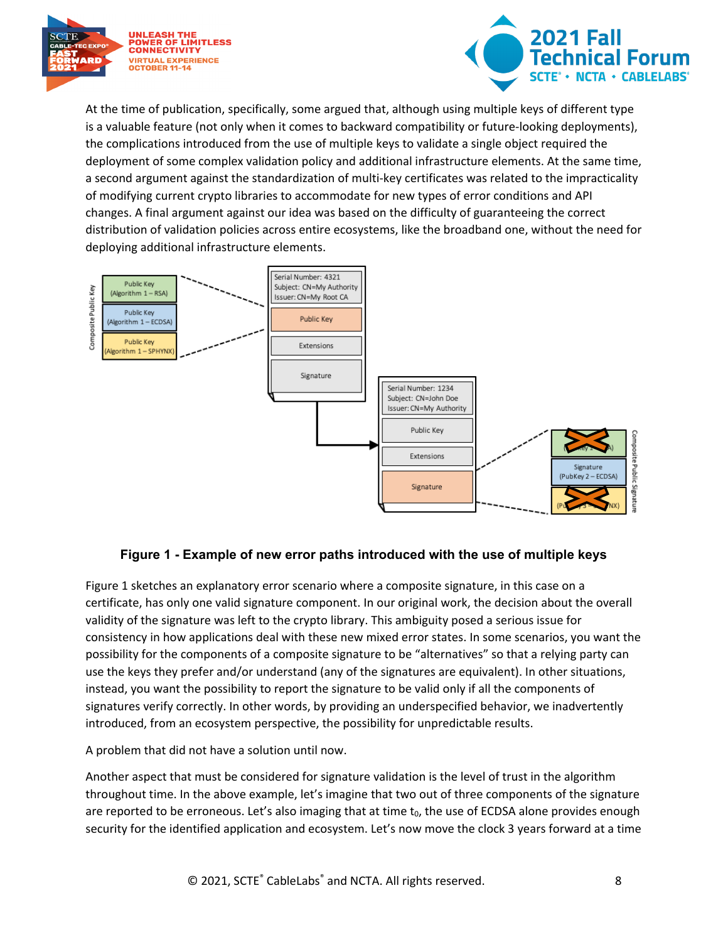



At the time of publication, specifically, some argued that, although using multiple keys of different type is a valuable feature (not only when it comes to backward compatibility or future-looking deployments), the complications introduced from the use of multiple keys to validate a single object required the deployment of some complex validation policy and additional infrastructure elements. At the same time, a second argument against the standardization of multi-key certificates was related to the impracticality of modifying current crypto libraries to accommodate for new types of error conditions and API changes. A final argument against our idea was based on the difficulty of guaranteeing the correct distribution of validation policies across entire ecosystems, like the broadband one, without the need for deploying additional infrastructure elements.



#### **Figure 1 - Example of new error paths introduced with the use of multiple keys**

<span id="page-7-0"></span>[Figure 1](#page-7-0) sketches an explanatory error scenario where a composite signature, in this case on a certificate, has only one valid signature component. In our original work, the decision about the overall validity of the signature was left to the crypto library. This ambiguity posed a serious issue for consistency in how applications deal with these new mixed error states. In some scenarios, you want the possibility for the components of a composite signature to be "alternatives" so that a relying party can use the keys they prefer and/or understand (any of the signatures are equivalent). In other situations, instead, you want the possibility to report the signature to be valid only if all the components of signatures verify correctly. In other words, by providing an underspecified behavior, we inadvertently introduced, from an ecosystem perspective, the possibility for unpredictable results.

A problem that did not have a solution until now.

Another aspect that must be considered for signature validation is the level of trust in the algorithm throughout time. In the above example, let's imagine that two out of three components of the signature are reported to be erroneous. Let's also imaging that at time  $t_0$ , the use of ECDSA alone provides enough security for the identified application and ecosystem. Let's now move the clock 3 years forward at a time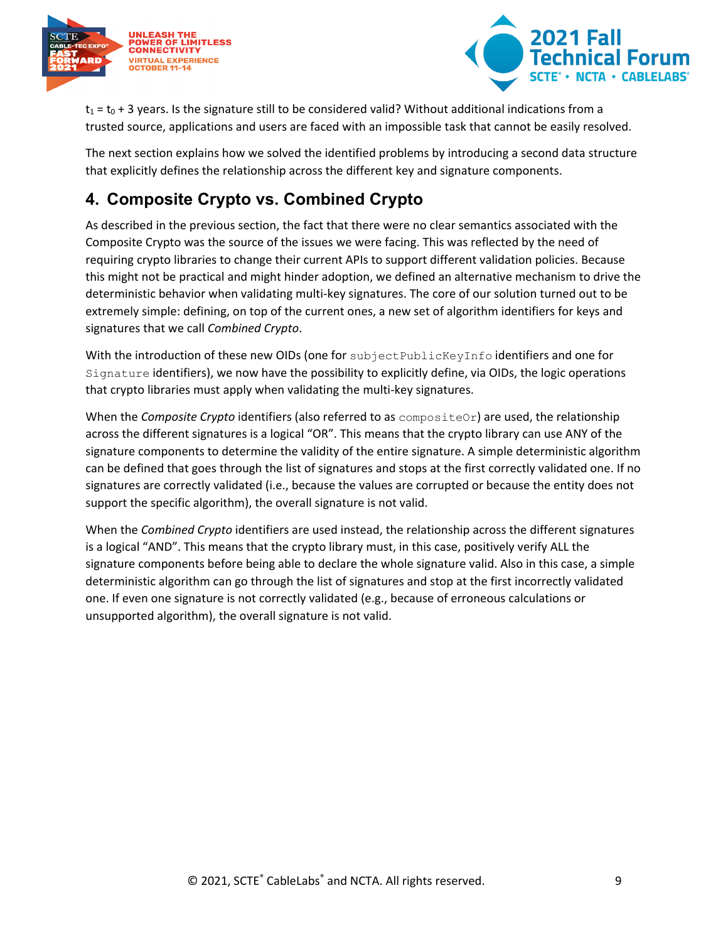



 $t_1$  =  $t_0$  + 3 years. Is the signature still to be considered valid? Without additional indications from a trusted source, applications and users are faced with an impossible task that cannot be easily resolved.

The next section explains how we solved the identified problems by introducing a second data structure that explicitly defines the relationship across the different key and signature components.

# <span id="page-8-0"></span>**4. Composite Crypto vs. Combined Crypto**

As described in the previous section, the fact that there were no clear semantics associated with the Composite Crypto was the source of the issues we were facing. This was reflected by the need of requiring crypto libraries to change their current APIs to support different validation policies. Because this might not be practical and might hinder adoption, we defined an alternative mechanism to drive the deterministic behavior when validating multi-key signatures. The core of our solution turned out to be extremely simple: defining, on top of the current ones, a new set of algorithm identifiers for keys and signatures that we call *Combined Crypto*.

With the introduction of these new OIDs (one for subjectPublicKeyInfo identifiers and one for Signature identifiers), we now have the possibility to explicitly define, via OIDs, the logic operations that crypto libraries must apply when validating the multi-key signatures.

When the *Composite Crypto* identifiers (also referred to as compositeOr) are used, the relationship across the different signatures is a logical "OR". This means that the crypto library can use ANY of the signature components to determine the validity of the entire signature. A simple deterministic algorithm can be defined that goes through the list of signatures and stops at the first correctly validated one. If no signatures are correctly validated (i.e., because the values are corrupted or because the entity does not support the specific algorithm), the overall signature is not valid.

When the *Combined Crypto* identifiers are used instead, the relationship across the different signatures is a logical "AND". This means that the crypto library must, in this case, positively verify ALL the signature components before being able to declare the whole signature valid. Also in this case, a simple deterministic algorithm can go through the list of signatures and stop at the first incorrectly validated one. If even one signature is not correctly validated (e.g., because of erroneous calculations or unsupported algorithm), the overall signature is not valid.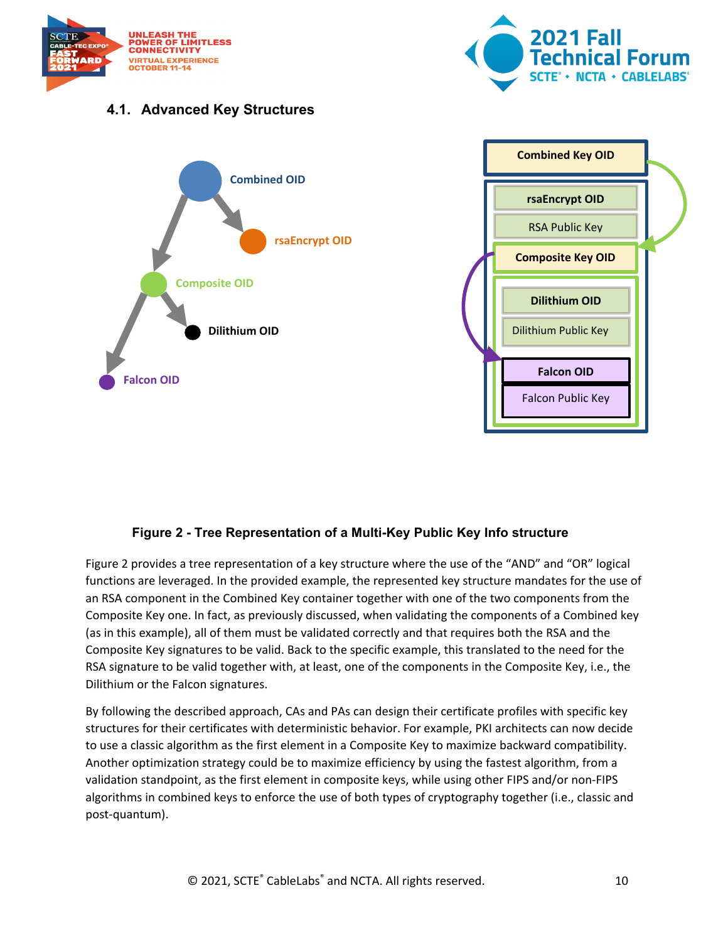



### <span id="page-9-0"></span>**4.1. Advanced Key Structures**



#### **Figure 2 - Tree Representation of a Multi-Key Public Key Info structure**

<span id="page-9-1"></span>[Figure 2](#page-9-1) provides a tree representation of a key structure where the use of the "AND" and "OR" logical functions are leveraged. In the provided example, the represented key structure mandates for the use of an RSA component in the Combined Key container together with one of the two components from the Composite Key one. In fact, as previously discussed, when validating the components of a Combined key (as in this example), all of them must be validated correctly and that requires both the RSA and the Composite Key signatures to be valid. Back to the specific example, this translated to the need for the RSA signature to be valid together with, at least, one of the components in the Composite Key, i.e., the Dilithium or the Falcon signatures.

By following the described approach, CAs and PAs can design their certificate profiles with specific key structures for their certificates with deterministic behavior. For example, PKI architects can now decide to use a classic algorithm as the first element in a Composite Key to maximize backward compatibility. Another optimization strategy could be to maximize efficiency by using the fastest algorithm, from a validation standpoint, as the first element in composite keys, while using other FIPS and/or non-FIPS algorithms in combined keys to enforce the use of both types of cryptography together (i.e., classic and post-quantum).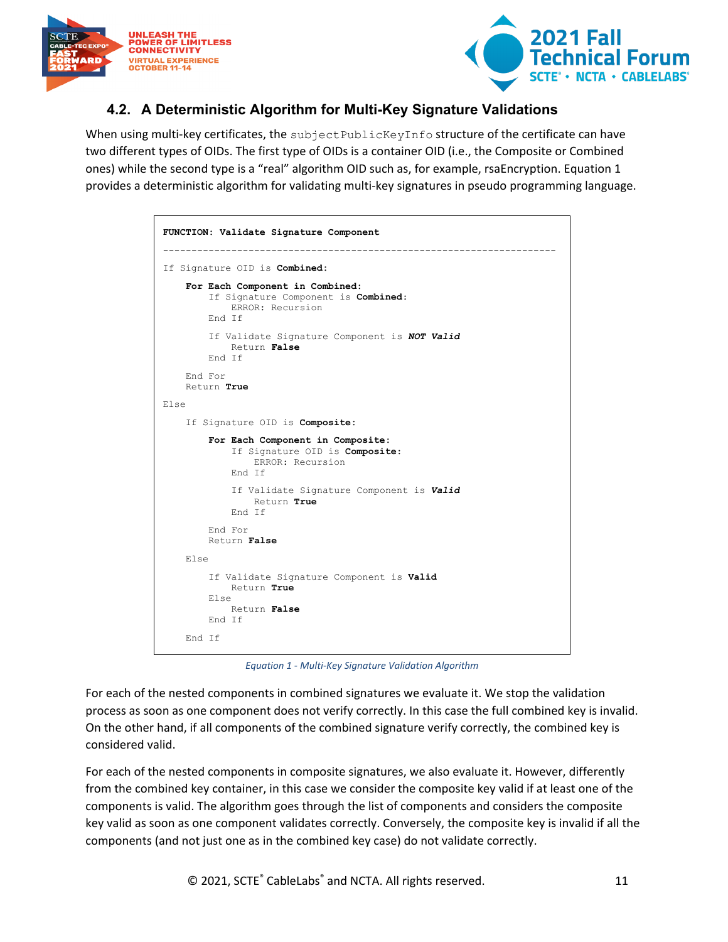



### <span id="page-10-0"></span>**4.2. A Deterministic Algorithm for Multi-Key Signature Validations**

When using multi-key certificates, the subjectPublicKeyInfo structure of the certificate can have two different types of OIDs. The first type of OIDs is a container OID (i.e., the Composite or Combined ones) while the second type is a "real" algorithm OID such as, for example, rsaEncryption. [Equation 1](#page-10-1) provides a deterministic algorithm for validating multi-key signatures in pseudo programming language.

|                        | FUNCTION: Validate Signature Component                                                               |
|------------------------|------------------------------------------------------------------------------------------------------|
|                        | If Signature OID is Combined:                                                                        |
|                        | For Each Component in Combined:<br>If Signature Component is Combined:<br>ERROR: Recursion<br>End If |
|                        | If Validate Signature Component is NOT Valid<br>Return False<br>End If                               |
| End For<br>Return True |                                                                                                      |
| Else                   |                                                                                                      |
|                        | If Signature OID is Composite:                                                                       |
|                        | For Each Component in Composite:<br>If Signature OID is Composite:<br>ERROR: Recursion<br>End Tf     |
|                        | If Validate Signature Component is Valid<br>Return True<br>End Tf                                    |
|                        | End For<br>Return False                                                                              |
| Else                   |                                                                                                      |
| Else                   | If Validate Signature Component is Valid<br>Return True<br>Return False<br>End Tf                    |
| End Tf                 |                                                                                                      |

*Equation 1 - Multi-Key Signature Validation Algorithm*

<span id="page-10-1"></span>For each of the nested components in combined signatures we evaluate it. We stop the validation process as soon as one component does not verify correctly. In this case the full combined key is invalid. On the other hand, if all components of the combined signature verify correctly, the combined key is considered valid.

For each of the nested components in composite signatures, we also evaluate it. However, differently from the combined key container, in this case we consider the composite key valid if at least one of the components is valid. The algorithm goes through the list of components and considers the composite key valid as soon as one component validates correctly. Conversely, the composite key is invalid if all the components (and not just one as in the combined key case) do not validate correctly.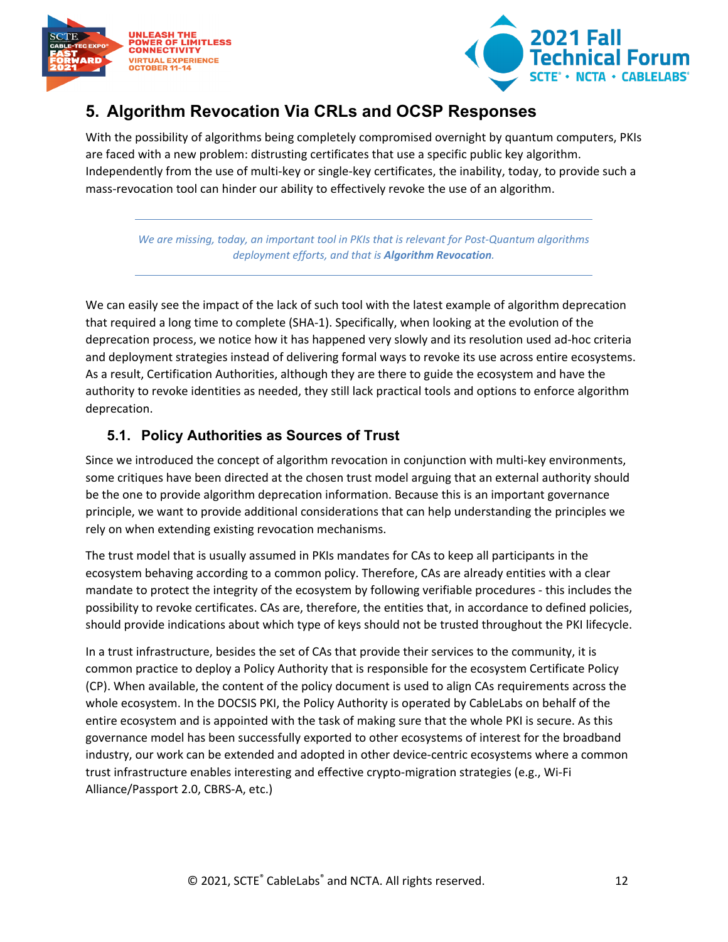



# <span id="page-11-0"></span>**5. Algorithm Revocation Via CRLs and OCSP Responses**

With the possibility of algorithms being completely compromised overnight by quantum computers, PKIs are faced with a new problem: distrusting certificates that use a specific public key algorithm. Independently from the use of multi-key or single-key certificates, the inability, today, to provide such a mass-revocation tool can hinder our ability to effectively revoke the use of an algorithm.

*We are missing, today, an important tool in PKIs that is relevant for Post-Quantum algorithms deployment efforts, and that is Algorithm Revocation.*

We can easily see the impact of the lack of such tool with the latest example of algorithm deprecation that required a long time to complete (SHA-1). Specifically, when looking at the evolution of the deprecation process, we notice how it has happened very slowly and its resolution used ad-hoc criteria and deployment strategies instead of delivering formal ways to revoke its use across entire ecosystems. As a result, Certification Authorities, although they are there to guide the ecosystem and have the authority to revoke identities as needed, they still lack practical tools and options to enforce algorithm deprecation.

### <span id="page-11-1"></span>**5.1. Policy Authorities as Sources of Trust**

Since we introduced the concept of algorithm revocation in conjunction with multi-key environments, some critiques have been directed at the chosen trust model arguing that an external authority should be the one to provide algorithm deprecation information. Because this is an important governance principle, we want to provide additional considerations that can help understanding the principles we rely on when extending existing revocation mechanisms.

The trust model that is usually assumed in PKIs mandates for CAs to keep all participants in the ecosystem behaving according to a common policy. Therefore, CAs are already entities with a clear mandate to protect the integrity of the ecosystem by following verifiable procedures - this includes the possibility to revoke certificates. CAs are, therefore, the entities that, in accordance to defined policies, should provide indications about which type of keys should not be trusted throughout the PKI lifecycle.

In a trust infrastructure, besides the set of CAs that provide their services to the community, it is common practice to deploy a Policy Authority that is responsible for the ecosystem Certificate Policy (CP). When available, the content of the policy document is used to align CAs requirements across the whole ecosystem. In the DOCSIS PKI, the Policy Authority is operated by CableLabs on behalf of the entire ecosystem and is appointed with the task of making sure that the whole PKI is secure. As this governance model has been successfully exported to other ecosystems of interest for the broadband industry, our work can be extended and adopted in other device-centric ecosystems where a common trust infrastructure enables interesting and effective crypto-migration strategies (e.g., Wi-Fi Alliance/Passport 2.0, CBRS-A, etc.)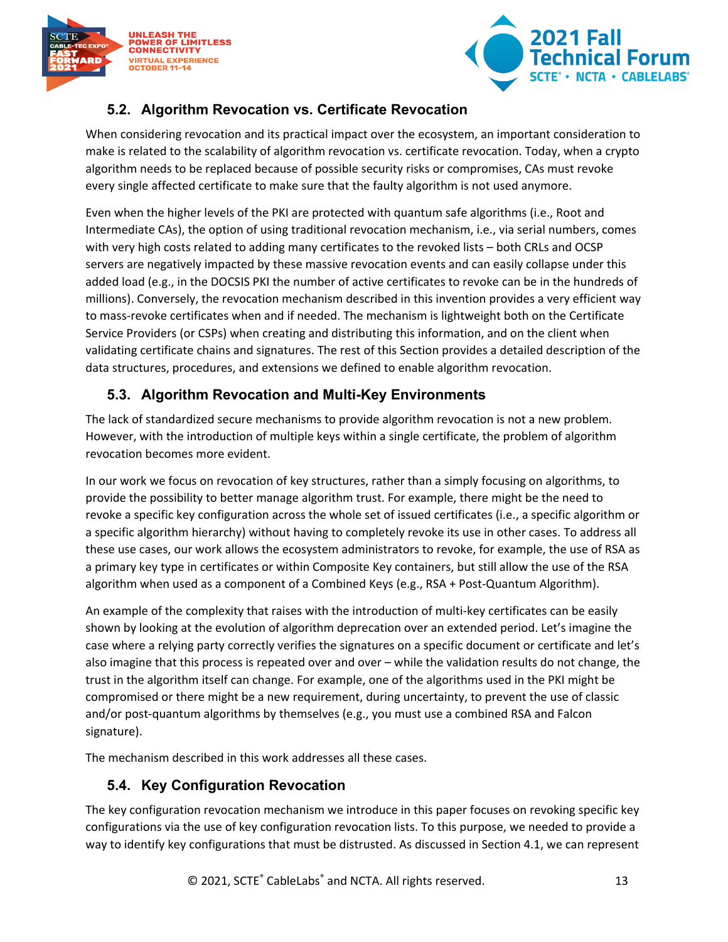



## <span id="page-12-0"></span>**5.2. Algorithm Revocation vs. Certificate Revocation**

When considering revocation and its practical impact over the ecosystem, an important consideration to make is related to the scalability of algorithm revocation vs. certificate revocation. Today, when a crypto algorithm needs to be replaced because of possible security risks or compromises, CAs must revoke every single affected certificate to make sure that the faulty algorithm is not used anymore.

Even when the higher levels of the PKI are protected with quantum safe algorithms (i.e., Root and Intermediate CAs), the option of using traditional revocation mechanism, i.e., via serial numbers, comes with very high costs related to adding many certificates to the revoked lists – both CRLs and OCSP servers are negatively impacted by these massive revocation events and can easily collapse under this added load (e.g., in the DOCSIS PKI the number of active certificates to revoke can be in the hundreds of millions). Conversely, the revocation mechanism described in this invention provides a very efficient way to mass-revoke certificates when and if needed. The mechanism is lightweight both on the Certificate Service Providers (or CSPs) when creating and distributing this information, and on the client when validating certificate chains and signatures. The rest of this Section provides a detailed description of the data structures, procedures, and extensions we defined to enable algorithm revocation.

### <span id="page-12-1"></span>**5.3. Algorithm Revocation and Multi-Key Environments**

The lack of standardized secure mechanisms to provide algorithm revocation is not a new problem. However, with the introduction of multiple keys within a single certificate, the problem of algorithm revocation becomes more evident.

In our work we focus on revocation of key structures, rather than a simply focusing on algorithms, to provide the possibility to better manage algorithm trust. For example, there might be the need to revoke a specific key configuration across the whole set of issued certificates (i.e., a specific algorithm or a specific algorithm hierarchy) without having to completely revoke its use in other cases. To address all these use cases, our work allows the ecosystem administrators to revoke, for example, the use of RSA as a primary key type in certificates or within Composite Key containers, but still allow the use of the RSA algorithm when used as a component of a Combined Keys (e.g., RSA + Post-Quantum Algorithm).

An example of the complexity that raises with the introduction of multi-key certificates can be easily shown by looking at the evolution of algorithm deprecation over an extended period. Let's imagine the case where a relying party correctly verifies the signatures on a specific document or certificate and let's also imagine that this process is repeated over and over – while the validation results do not change, the trust in the algorithm itself can change. For example, one of the algorithms used in the PKI might be compromised or there might be a new requirement, during uncertainty, to prevent the use of classic and/or post-quantum algorithms by themselves (e.g., you must use a combined RSA and Falcon signature).

The mechanism described in this work addresses all these cases.

### <span id="page-12-2"></span>**5.4. Key Configuration Revocation**

The key configuration revocation mechanism we introduce in this paper focuses on revoking specific key configurations via the use of key configuration revocation lists. To this purpose, we needed to provide a way to identify key configurations that must be distrusted. As discussed in Section [4.1,](#page-9-0) we can represent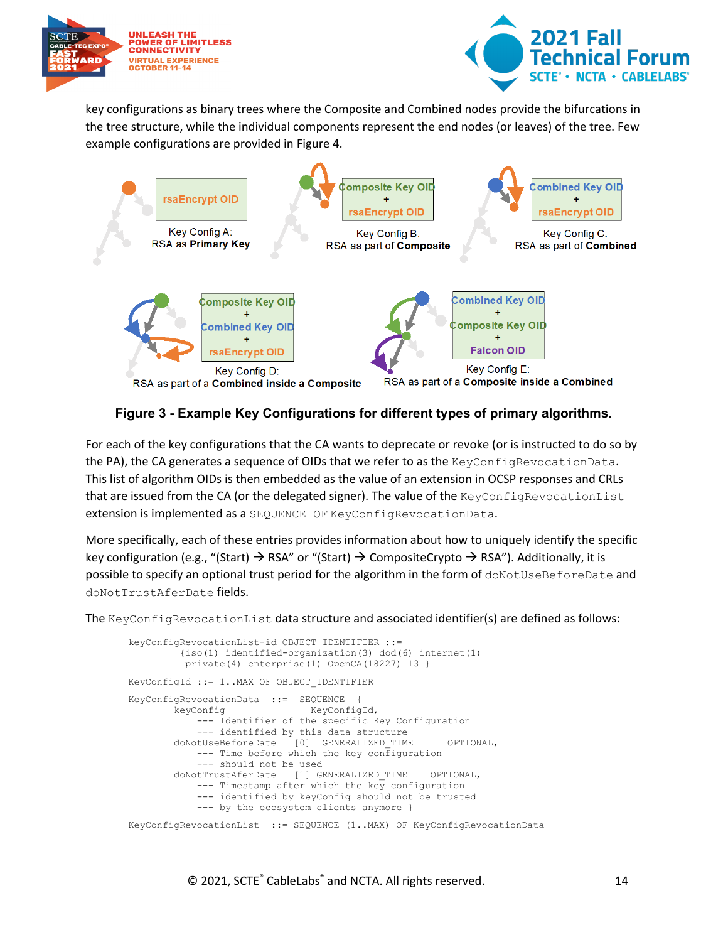



key configurations as binary trees where the Composite and Combined nodes provide the bifurcations in the tree structure, while the individual components represent the end nodes (or leaves) of the tree. Few example configurations are provided in Figure 4.



#### <span id="page-13-0"></span>**Figure 3 - Example Key Configurations for different types of primary algorithms.**

For each of the key configurations that the CA wants to deprecate or revoke (or is instructed to do so by the PA), the CA generates a sequence of OIDs that we refer to as the KeyConfigRevocationData. This list of algorithm OIDs is then embedded as the value of an extension in OCSP responses and CRLs that are issued from the CA (or the delegated signer). The value of the KeyConfigRevocationList extension is implemented as a SEQUENCE OF KeyConfigRevocationData.

More specifically, each of these entries provides information about how to uniquely identify the specific key configuration (e.g., "(Start)  $\rightarrow$  RSA" or "(Start)  $\rightarrow$  CompositeCrypto  $\rightarrow$  RSA"). Additionally, it is possible to specify an optional trust period for the algorithm in the form of doNotUseBeforeDate and doNotTrustAferDate fields.

The KeyConfigRevocationList data structure and associated identifier(s) are defined as follows:

```
keyConfigRevocationList-id OBJECT IDENTIFIER ::= 
           {iso(1) identified-organization(3) dod(6) internet(1)
           private(4) enterprise(1) OpenCA(18227) 13 }
KeyConfigId ::= 1..MAX OF OBJECT_IDENTIFIER
KeyConfigRevocationData ::= SEQUENCE {
                                    keyConfig KeyConfigId,
              --- Identifier of the specific Key Configuration
        --- identified by this data structure<br>doNotUseBeforeDate [0] GENERALIZED TIME
                              [0] GENERALIZED TIME OPTIONAL,
              --- Time before which the key configuration
        --- should not be used<br>doNotTrustAferDate [1] GE
                              [1] GENERALIZED TIME OPTIONAL,
             --- Timestamp after which the key configuration
              --- identified by keyConfig should not be trusted
              --- by the ecosystem clients anymore }
KeyConfigRevocationList ::= SEQUENCE (1..MAX) OF KeyConfigRevocationData
```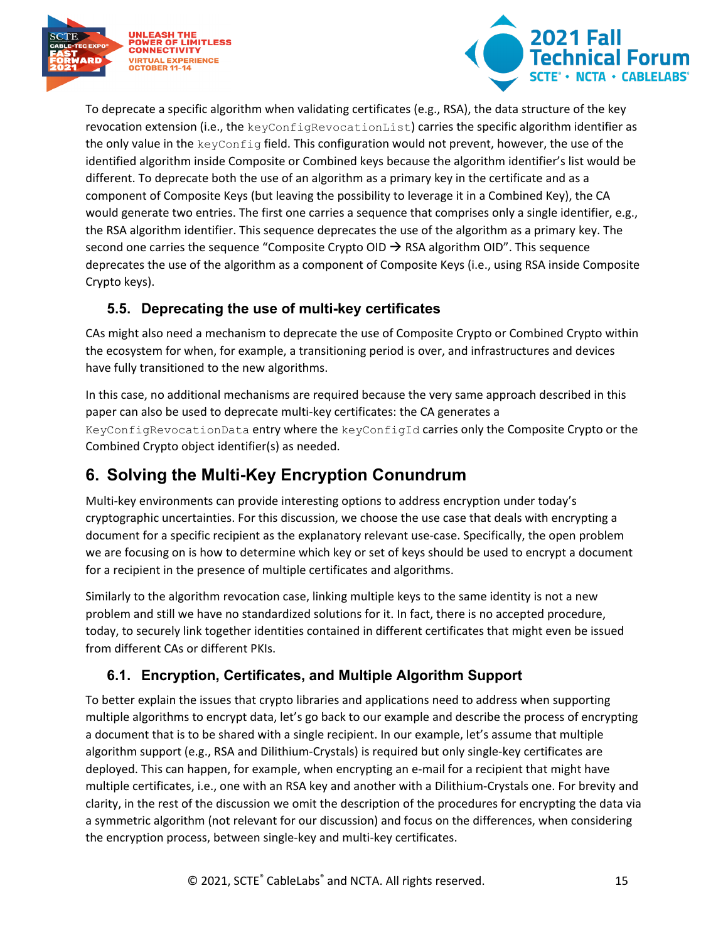



To deprecate a specific algorithm when validating certificates (e.g., RSA), the data structure of the key revocation extension (i.e., the keyConfigRevocationList) carries the specific algorithm identifier as the only value in the keyConfig field. This configuration would not prevent, however, the use of the identified algorithm inside Composite or Combined keys because the algorithm identifier's list would be different. To deprecate both the use of an algorithm as a primary key in the certificate and as a component of Composite Keys (but leaving the possibility to leverage it in a Combined Key), the CA would generate two entries. The first one carries a sequence that comprises only a single identifier, e.g., the RSA algorithm identifier. This sequence deprecates the use of the algorithm as a primary key. The second one carries the sequence "Composite Crypto OID  $\rightarrow$  RSA algorithm OID". This sequence deprecates the use of the algorithm as a component of Composite Keys (i.e., using RSA inside Composite Crypto keys).

### <span id="page-14-0"></span>**5.5. Deprecating the use of multi-key certificates**

CAs might also need a mechanism to deprecate the use of Composite Crypto or Combined Crypto within the ecosystem for when, for example, a transitioning period is over, and infrastructures and devices have fully transitioned to the new algorithms.

In this case, no additional mechanisms are required because the very same approach described in this paper can also be used to deprecate multi-key certificates: the CA generates a KeyConfigRevocationData entry where the keyConfigId carries only the Composite Crypto or the Combined Crypto object identifier(s) as needed.

# <span id="page-14-1"></span>**6. Solving the Multi-Key Encryption Conundrum**

Multi-key environments can provide interesting options to address encryption under today's cryptographic uncertainties. For this discussion, we choose the use case that deals with encrypting a document for a specific recipient as the explanatory relevant use-case. Specifically, the open problem we are focusing on is how to determine which key or set of keys should be used to encrypt a document for a recipient in the presence of multiple certificates and algorithms.

Similarly to the algorithm revocation case, linking multiple keys to the same identity is not a new problem and still we have no standardized solutions for it. In fact, there is no accepted procedure, today, to securely link together identities contained in different certificates that might even be issued from different CAs or different PKIs.

## <span id="page-14-2"></span>**6.1. Encryption, Certificates, and Multiple Algorithm Support**

To better explain the issues that crypto libraries and applications need to address when supporting multiple algorithms to encrypt data, let's go back to our example and describe the process of encrypting a document that is to be shared with a single recipient. In our example, let's assume that multiple algorithm support (e.g., RSA and Dilithium-Crystals) is required but only single-key certificates are deployed. This can happen, for example, when encrypting an e-mail for a recipient that might have multiple certificates, i.e., one with an RSA key and another with a Dilithium-Crystals one. For brevity and clarity, in the rest of the discussion we omit the description of the procedures for encrypting the data via a symmetric algorithm (not relevant for our discussion) and focus on the differences, when considering the encryption process, between single-key and multi-key certificates.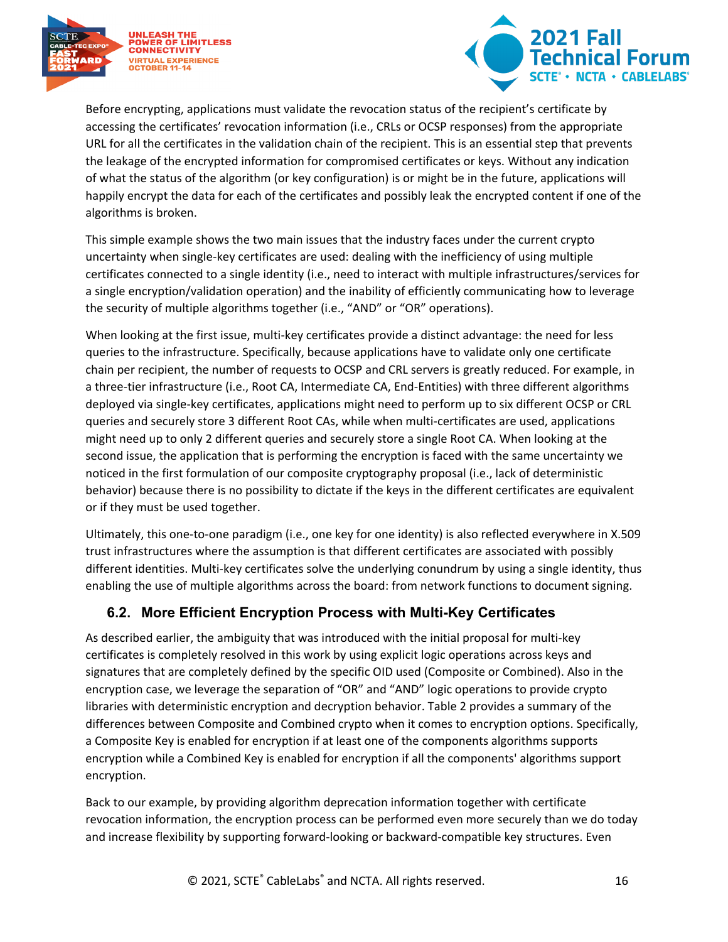



Before encrypting, applications must validate the revocation status of the recipient's certificate by accessing the certificates' revocation information (i.e., CRLs or OCSP responses) from the appropriate URL for all the certificates in the validation chain of the recipient. This is an essential step that prevents the leakage of the encrypted information for compromised certificates or keys. Without any indication of what the status of the algorithm (or key configuration) is or might be in the future, applications will happily encrypt the data for each of the certificates and possibly leak the encrypted content if one of the algorithms is broken.

This simple example shows the two main issues that the industry faces under the current crypto uncertainty when single-key certificates are used: dealing with the inefficiency of using multiple certificates connected to a single identity (i.e., need to interact with multiple infrastructures/services for a single encryption/validation operation) and the inability of efficiently communicating how to leverage the security of multiple algorithms together (i.e., "AND" or "OR" operations).

When looking at the first issue, multi-key certificates provide a distinct advantage: the need for less queries to the infrastructure. Specifically, because applications have to validate only one certificate chain per recipient, the number of requests to OCSP and CRL servers is greatly reduced. For example, in a three-tier infrastructure (i.e., Root CA, Intermediate CA, End-Entities) with three different algorithms deployed via single-key certificates, applications might need to perform up to six different OCSP or CRL queries and securely store 3 different Root CAs, while when multi-certificates are used, applications might need up to only 2 different queries and securely store a single Root CA. When looking at the second issue, the application that is performing the encryption is faced with the same uncertainty we noticed in the first formulation of our composite cryptography proposal (i.e., lack of deterministic behavior) because there is no possibility to dictate if the keys in the different certificates are equivalent or if they must be used together.

Ultimately, this one-to-one paradigm (i.e., one key for one identity) is also reflected everywhere in X.509 trust infrastructures where the assumption is that different certificates are associated with possibly different identities. Multi-key certificates solve the underlying conundrum by using a single identity, thus enabling the use of multiple algorithms across the board: from network functions to document signing.

### <span id="page-15-0"></span>**6.2. More Efficient Encryption Process with Multi-Key Certificates**

As described earlier, the ambiguity that was introduced with the initial proposal for multi-key certificates is completely resolved in this work by using explicit logic operations across keys and signatures that are completely defined by the specific OID used (Composite or Combined). Also in the encryption case, we leverage the separation of "OR" and "AND" logic operations to provide crypto libraries with deterministic encryption and decryption behavior. [Table 2](#page-16-2) provides a summary of the differences between Composite and Combined crypto when it comes to encryption options. Specifically, a Composite Key is enabled for encryption if at least one of the components algorithms supports encryption while a Combined Key is enabled for encryption if all the components' algorithms support encryption.

Back to our example, by providing algorithm deprecation information together with certificate revocation information, the encryption process can be performed even more securely than we do today and increase flexibility by supporting forward-looking or backward-compatible key structures. Even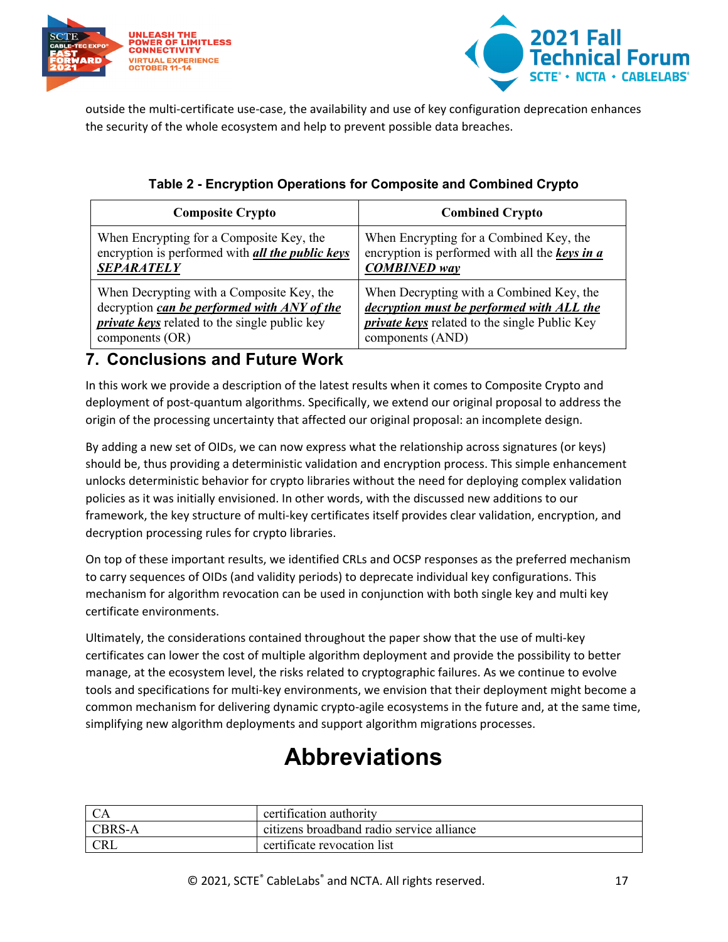



outside the multi-certificate use-case, the availability and use of key configuration deprecation enhances the security of the whole ecosystem and help to prevent possible data breaches.

<span id="page-16-2"></span>

| <b>Composite Crypto</b>                              | <b>Combined Crypto</b>                               |
|------------------------------------------------------|------------------------------------------------------|
| When Encrypting for a Composite Key, the             | When Encrypting for a Combined Key, the              |
| encryption is performed with all the public keys     | encryption is performed with all the keys in a       |
| <b>SEPARATELY</b>                                    | <b>COMBINED</b> way                                  |
| When Decrypting with a Composite Key, the            | When Decrypting with a Combined Key, the             |
| decryption can be performed with ANY of the          | decryption must be performed with ALL the            |
| <i>private keys</i> related to the single public key | <i>private keys</i> related to the single Public Key |
| components (OR)                                      | components (AND)                                     |

### **Table 2 - Encryption Operations for Composite and Combined Crypto**

## <span id="page-16-0"></span>**7. Conclusions and Future Work**

In this work we provide a description of the latest results when it comes to Composite Crypto and deployment of post-quantum algorithms. Specifically, we extend our original proposal to address the origin of the processing uncertainty that affected our original proposal: an incomplete design.

By adding a new set of OIDs, we can now express what the relationship across signatures (or keys) should be, thus providing a deterministic validation and encryption process. This simple enhancement unlocks deterministic behavior for crypto libraries without the need for deploying complex validation policies as it was initially envisioned. In other words, with the discussed new additions to our framework, the key structure of multi-key certificates itself provides clear validation, encryption, and decryption processing rules for crypto libraries.

On top of these important results, we identified CRLs and OCSP responses as the preferred mechanism to carry sequences of OIDs (and validity periods) to deprecate individual key configurations. This mechanism for algorithm revocation can be used in conjunction with both single key and multi key certificate environments.

Ultimately, the considerations contained throughout the paper show that the use of multi-key certificates can lower the cost of multiple algorithm deployment and provide the possibility to better manage, at the ecosystem level, the risks related to cryptographic failures. As we continue to evolve tools and specifications for multi-key environments, we envision that their deployment might become a common mechanism for delivering dynamic crypto-agile ecosystems in the future and, at the same time, simplifying new algorithm deployments and support algorithm migrations processes.

# **Abbreviations**

<span id="page-16-1"></span>

|                     | certification authority                   |
|---------------------|-------------------------------------------|
| <sup>1</sup> CBRS-A | citizens broadband radio service alliance |
| <b>CRL</b>          | certificate revocation list               |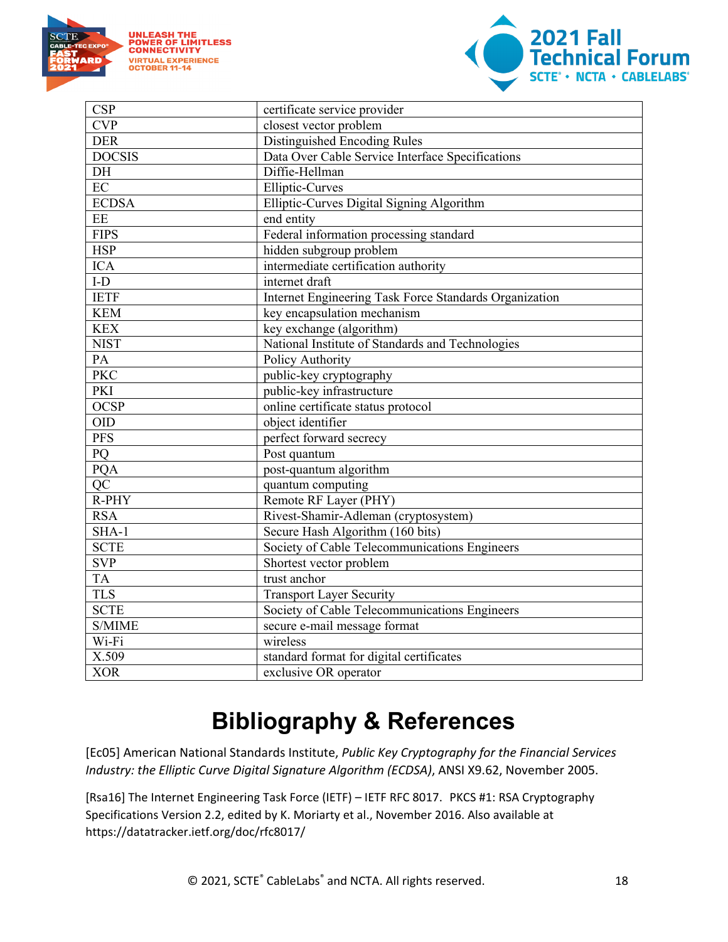



| <b>CSP</b>      | certificate service provider                           |
|-----------------|--------------------------------------------------------|
| <b>CVP</b>      | closest vector problem                                 |
| <b>DER</b>      | Distinguished Encoding Rules                           |
| <b>DOCSIS</b>   | Data Over Cable Service Interface Specifications       |
| DH              | Diffie-Hellman                                         |
| EC              | <b>Elliptic-Curves</b>                                 |
| <b>ECDSA</b>    | Elliptic-Curves Digital Signing Algorithm              |
| EE              | end entity                                             |
| <b>FIPS</b>     | Federal information processing standard                |
| <b>HSP</b>      | hidden subgroup problem                                |
| <b>ICA</b>      | intermediate certification authority                   |
| $\text{I-D}$    | internet draft                                         |
| <b>IETF</b>     | Internet Engineering Task Force Standards Organization |
| <b>KEM</b>      | key encapsulation mechanism                            |
| <b>KEX</b>      | key exchange (algorithm)                               |
| <b>NIST</b>     | National Institute of Standards and Technologies       |
| PA              | Policy Authority                                       |
| <b>PKC</b>      | public-key cryptography                                |
| PKI             | public-key infrastructure                              |
| <b>OCSP</b>     | online certificate status protocol                     |
| <b>OID</b>      | object identifier                                      |
| <b>PFS</b>      | perfect forward secrecy                                |
| PQ              | Post quantum                                           |
| PQA             | post-quantum algorithm                                 |
| $Q\overline{C}$ | quantum computing                                      |
| R-PHY           | Remote RF Layer (PHY)                                  |
| <b>RSA</b>      | Rivest-Shamir-Adleman (cryptosystem)                   |
| $SHA-1$         | Secure Hash Algorithm (160 bits)                       |
| <b>SCTE</b>     | Society of Cable Telecommunications Engineers          |
| <b>SVP</b>      | Shortest vector problem                                |
| <b>TA</b>       | trust anchor                                           |
| <b>TLS</b>      | <b>Transport Layer Security</b>                        |
| <b>SCTE</b>     | Society of Cable Telecommunications Engineers          |
| S/MIME          | secure e-mail message format                           |
| Wi-Fi           | wireless                                               |
| X.509           | standard format for digital certificates               |
| <b>XOR</b>      | exclusive OR operator                                  |

# **Bibliography & References**

<span id="page-17-0"></span>[Ec05] American National Standards Institute, *Public Key Cryptography for the Financial Services Industry: the Elliptic Curve Digital Signature Algorithm (ECDSA)*, ANSI X9.62, November 2005.

[Rsa16] The Internet Engineering Task Force (IETF) – IETF RFC 8017. PKCS #1: RSA Cryptography Specifications Version 2.2, edited by K. Moriarty et al., November 2016. Also available at https://datatracker.ietf.org/doc/rfc8017/